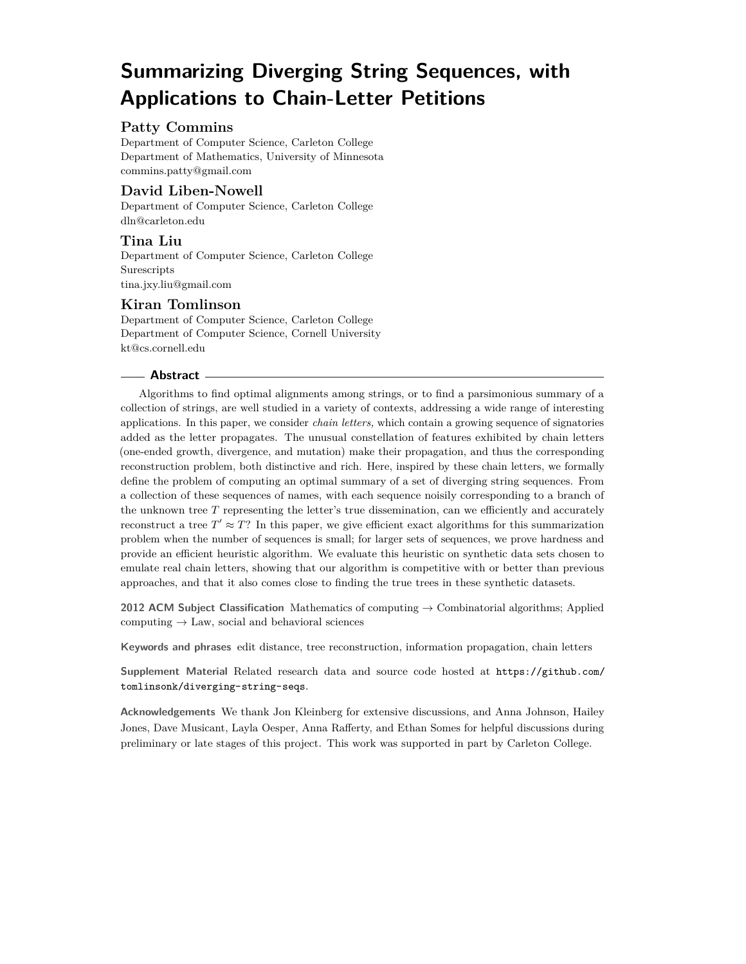# **Summarizing Diverging String Sequences, with Applications to Chain-Letter Petitions**

# **Patty Commins**

Department of Computer Science, Carleton College Department of Mathematics, University of Minnesota [commins.patty@gmail.com](mailto:commins.patty@gmail.com)

# **David Liben-Nowell**

Department of Computer Science, Carleton College [dln@carleton.edu](mailto:dln@carleton.edu)

# **Tina Liu**

Department of Computer Science, Carleton College Surescripts [tina.jxy.liu@gmail.com](mailto:tina.jxy.liu@gmail.com)

# **Kiran Tomlinson**

Department of Computer Science, Carleton College Department of Computer Science, Cornell University [kt@cs.cornell.edu](mailto:kt@cs.cornell.edu)

#### **Abstract**

Algorithms to find optimal alignments among strings, or to find a parsimonious summary of a collection of strings, are well studied in a variety of contexts, addressing a wide range of interesting applications. In this paper, we consider *chain letters,* which contain a growing sequence of signatories added as the letter propagates. The unusual constellation of features exhibited by chain letters (one-ended growth, divergence, and mutation) make their propagation, and thus the corresponding reconstruction problem, both distinctive and rich. Here, inspired by these chain letters, we formally define the problem of computing an optimal summary of a set of diverging string sequences. From a collection of these sequences of names, with each sequence noisily corresponding to a branch of the unknown tree *T* representing the letter's true dissemination, can we efficiently and accurately reconstruct a tree  $T' \approx T$ ? In this paper, we give efficient exact algorithms for this summarization problem when the number of sequences is small; for larger sets of sequences, we prove hardness and provide an efficient heuristic algorithm. We evaluate this heuristic on synthetic data sets chosen to emulate real chain letters, showing that our algorithm is competitive with or better than previous approaches, and that it also comes close to finding the true trees in these synthetic datasets.

**2012 ACM Subject Classification** Mathematics of computing → Combinatorial algorithms; Applied computing  $\rightarrow$  Law, social and behavioral sciences

**Keywords and phrases** edit distance, tree reconstruction, information propagation, chain letters

**Supplement Material** Related research data and source code hosted at [https://github.com/](https://github.com/tomlinsonk/diverging-string-seqs) [tomlinsonk/diverging-string-seqs](https://github.com/tomlinsonk/diverging-string-seqs).

**Acknowledgements** We thank Jon Kleinberg for extensive discussions, and Anna Johnson, Hailey Jones, Dave Musicant, Layla Oesper, Anna Rafferty, and Ethan Somes for helpful discussions during preliminary or late stages of this project. This work was supported in part by Carleton College.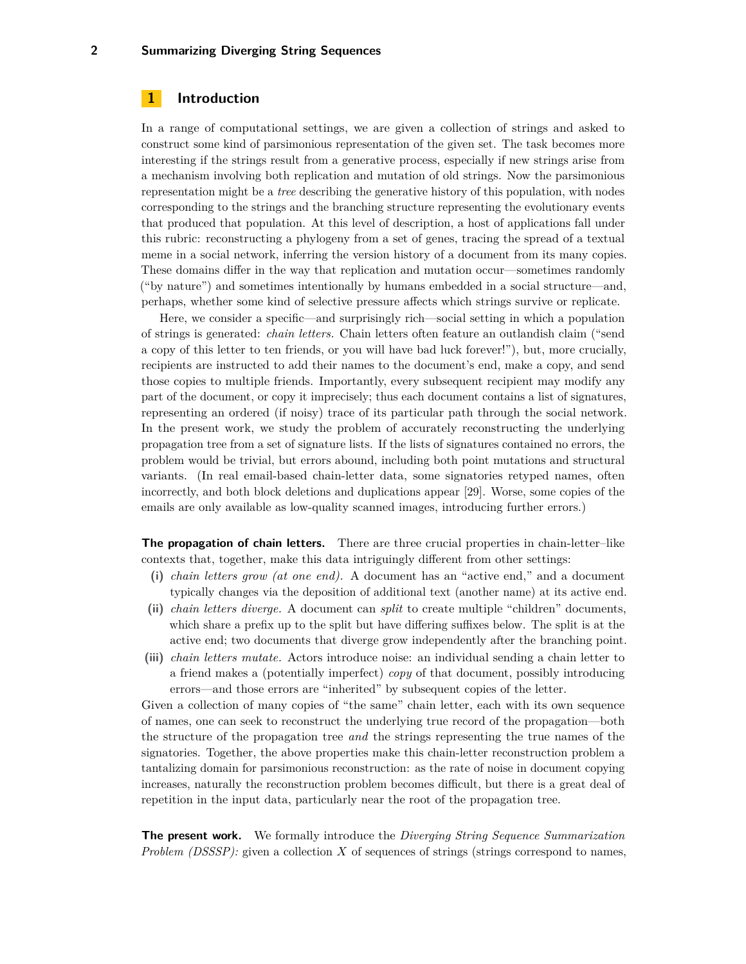# **1 Introduction**

In a range of computational settings, we are given a collection of strings and asked to construct some kind of parsimonious representation of the given set. The task becomes more interesting if the strings result from a generative process, especially if new strings arise from a mechanism involving both replication and mutation of old strings. Now the parsimonious representation might be a *tree* describing the generative history of this population, with nodes corresponding to the strings and the branching structure representing the evolutionary events that produced that population. At this level of description, a host of applications fall under this rubric: reconstructing a phylogeny from a set of genes, tracing the spread of a textual meme in a social network, inferring the version history of a document from its many copies. These domains differ in the way that replication and mutation occur—sometimes randomly ("by nature") and sometimes intentionally by humans embedded in a social structure—and, perhaps, whether some kind of selective pressure affects which strings survive or replicate.

Here, we consider a specific—and surprisingly rich—social setting in which a population of strings is generated: *chain letters.* Chain letters often feature an outlandish claim ("send a copy of this letter to ten friends, or you will have bad luck forever!"), but, more crucially, recipients are instructed to add their names to the document's end, make a copy, and send those copies to multiple friends. Importantly, every subsequent recipient may modify any part of the document, or copy it imprecisely; thus each document contains a list of signatures, representing an ordered (if noisy) trace of its particular path through the social network. In the present work, we study the problem of accurately reconstructing the underlying propagation tree from a set of signature lists. If the lists of signatures contained no errors, the problem would be trivial, but errors abound, including both point mutations and structural variants. (In real email-based chain-letter data, some signatories retyped names, often incorrectly, and both block deletions and duplications appear [\[29\]](#page-14-0). Worse, some copies of the emails are only available as low-quality scanned images, introducing further errors.)

**The propagation of chain letters.** There are three crucial properties in chain-letter–like contexts that, together, make this data intriguingly different from other settings:

- **(i)** *chain letters grow (at one end).* A document has an "active end," and a document typically changes via the deposition of additional text (another name) at its active end.
- **(ii)** *chain letters diverge.* A document can *split* to create multiple "children" documents, which share a prefix up to the split but have differing suffixes below. The split is at the active end; two documents that diverge grow independently after the branching point.
- **(iii)** *chain letters mutate.* Actors introduce noise: an individual sending a chain letter to a friend makes a (potentially imperfect) *copy* of that document, possibly introducing errors—and those errors are "inherited" by subsequent copies of the letter.

Given a collection of many copies of "the same" chain letter, each with its own sequence of names, one can seek to reconstruct the underlying true record of the propagation—both the structure of the propagation tree *and* the strings representing the true names of the signatories. Together, the above properties make this chain-letter reconstruction problem a tantalizing domain for parsimonious reconstruction: as the rate of noise in document copying increases, naturally the reconstruction problem becomes difficult, but there is a great deal of repetition in the input data, particularly near the root of the propagation tree.

**The present work.** We formally introduce the *Diverging String Sequence Summarization Problem (DSSSP):* given a collection X of sequences of strings (strings correspond to names,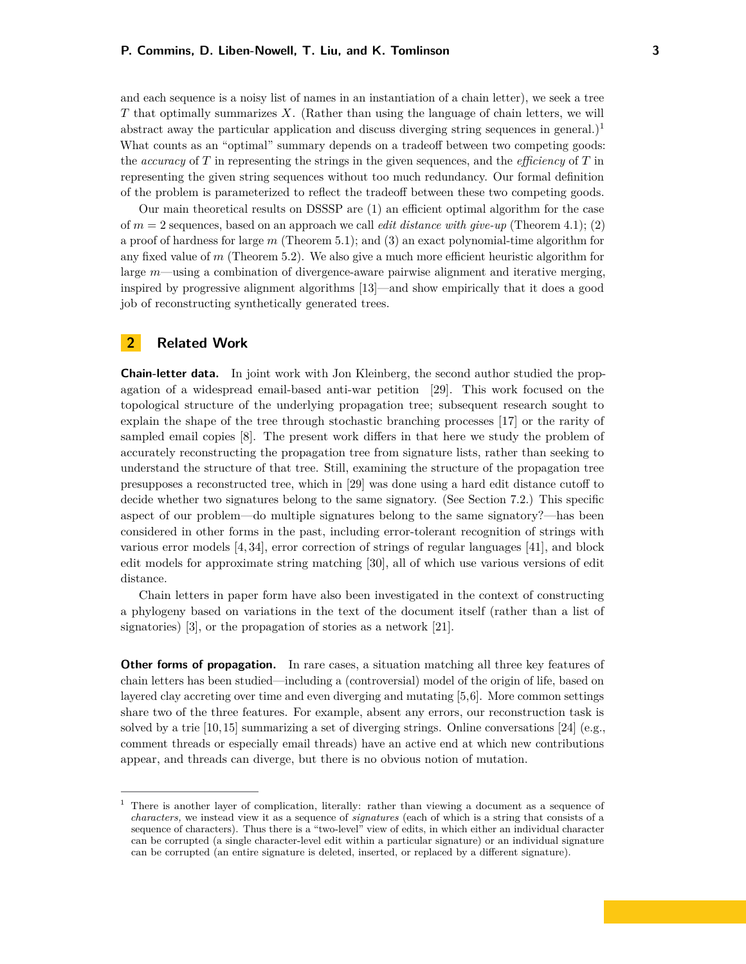and each sequence is a noisy list of names in an instantiation of a chain letter), we seek a tree *T* that optimally summarizes *X*. (Rather than using the language of chain letters, we will abstract away the particular application and discuss diverging string sequences in general.)<sup>[1](#page-2-0)</sup> What counts as an "optimal" summary depends on a tradeoff between two competing goods: the *accuracy* of *T* in representing the strings in the given sequences, and the *efficiency* of *T* in representing the given string sequences without too much redundancy. Our formal definition of the problem is parameterized to reflect the tradeoff between these two competing goods.

Our main theoretical results on DSSSP are (1) an efficient optimal algorithm for the case of *m* = 2 sequences, based on an approach we call *edit distance with give-up* (Theorem [4.1\)](#page-6-0); (2) a proof of hardness for large *m* (Theorem [5.1\)](#page-6-0); and (3) an exact polynomial-time algorithm for any fixed value of *m* (Theorem [5.2\)](#page-7-0). We also give a much more efficient heuristic algorithm for large *m*—using a combination of divergence-aware pairwise alignment and iterative merging, inspired by progressive alignment algorithms [\[13\]](#page-13-0)—and show empirically that it does a good job of reconstructing synthetically generated trees.

# **2 Related Work**

**Chain-letter data.** In joint work with Jon Kleinberg, the second author studied the propagation of a widespread email-based anti-war petition [\[29\]](#page-14-0). This work focused on the topological structure of the underlying propagation tree; subsequent research sought to explain the shape of the tree through stochastic branching processes [\[17\]](#page-13-1) or the rarity of sampled email copies [\[8\]](#page-13-2). The present work differs in that here we study the problem of accurately reconstructing the propagation tree from signature lists, rather than seeking to understand the structure of that tree. Still, examining the structure of the propagation tree presupposes a reconstructed tree, which in [\[29\]](#page-14-0) was done using a hard edit distance cutoff to decide whether two signatures belong to the same signatory. (See Section [7.2.](#page-9-0)) This specific aspect of our problem—do multiple signatures belong to the same signatory?—has been considered in other forms in the past, including error-tolerant recognition of strings with various error models [\[4,](#page-13-3) [34\]](#page-14-1), error correction of strings of regular languages [\[41\]](#page-14-2), and block edit models for approximate string matching [\[30\]](#page-14-3), all of which use various versions of edit distance.

Chain letters in paper form have also been investigated in the context of constructing a phylogeny based on variations in the text of the document itself (rather than a list of signatories) [\[3\]](#page-13-4), or the propagation of stories as a network [\[21\]](#page-13-5).

**Other forms of propagation.** In rare cases, a situation matching all three key features of chain letters has been studied—including a (controversial) model of the origin of life, based on layered clay accreting over time and even diverging and mutating [\[5,](#page-13-6)[6\]](#page-13-7). More common settings share two of the three features. For example, absent any errors, our reconstruction task is solved by a trie  $[10, 15]$  $[10, 15]$  summarizing a set of diverging strings. Online conversations  $[24]$  (e.g., comment threads or especially email threads) have an active end at which new contributions appear, and threads can diverge, but there is no obvious notion of mutation.

<span id="page-2-0"></span><sup>&</sup>lt;sup>1</sup> There is another layer of complication, literally: rather than viewing a document as a sequence of *characters,* we instead view it as a sequence of *signatures* (each of which is a string that consists of a sequence of characters). Thus there is a "two-level" view of edits, in which either an individual character can be corrupted (a single character-level edit within a particular signature) or an individual signature can be corrupted (an entire signature is deleted, inserted, or replaced by a different signature).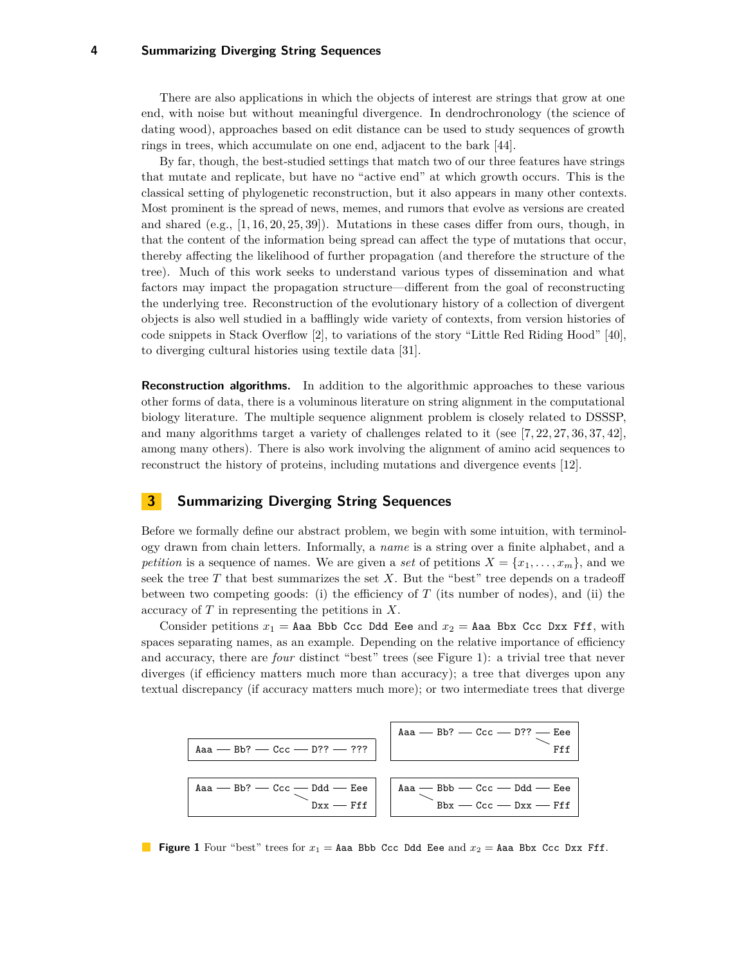There are also applications in which the objects of interest are strings that grow at one end, with noise but without meaningful divergence. In dendrochronology (the science of dating wood), approaches based on edit distance can be used to study sequences of growth rings in trees, which accumulate on one end, adjacent to the bark [\[44\]](#page-14-4).

By far, though, the best-studied settings that match two of our three features have strings that mutate and replicate, but have no "active end" at which growth occurs. This is the classical setting of phylogenetic reconstruction, but it also appears in many other contexts. Most prominent is the spread of news, memes, and rumors that evolve as versions are created and shared  $(e.g., [1, 16, 20, 25, 39])$  $(e.g., [1, 16, 20, 25, 39])$  $(e.g., [1, 16, 20, 25, 39])$  $(e.g., [1, 16, 20, 25, 39])$  $(e.g., [1, 16, 20, 25, 39])$  $(e.g., [1, 16, 20, 25, 39])$  $(e.g., [1, 16, 20, 25, 39])$ . Mutations in these cases differ from ours, though, in that the content of the information being spread can affect the type of mutations that occur, thereby affecting the likelihood of further propagation (and therefore the structure of the tree). Much of this work seeks to understand various types of dissemination and what factors may impact the propagation structure—different from the goal of reconstructing the underlying tree. Reconstruction of the evolutionary history of a collection of divergent objects is also well studied in a bafflingly wide variety of contexts, from version histories of code snippets in Stack Overflow [\[2\]](#page-13-14), to variations of the story "Little Red Riding Hood" [\[40\]](#page-14-7), to diverging cultural histories using textile data [\[31\]](#page-14-8).

**Reconstruction algorithms.** In addition to the algorithmic approaches to these various other forms of data, there is a voluminous literature on string alignment in the computational biology literature. The multiple sequence alignment problem is closely related to DSSSP, and many algorithms target a variety of challenges related to it (see [\[7,](#page-13-15) [22,](#page-13-16) [27,](#page-14-9) [36,](#page-14-10) [37,](#page-14-11) [42\]](#page-14-12), among many others). There is also work involving the alignment of amino acid sequences to reconstruct the history of proteins, including mutations and divergence events [\[12\]](#page-13-17).

# <span id="page-3-1"></span>**3 Summarizing Diverging String Sequences**

Before we formally define our abstract problem, we begin with some intuition, with terminology drawn from chain letters. Informally, a *name* is a string over a finite alphabet, and a *petition* is a sequence of names. We are given a *set* of petitions  $X = \{x_1, \ldots, x_m\}$ , and we seek the tree *T* that best summarizes the set *X*. But the "best" tree depends on a tradeoff between two competing goods: (i) the efficiency of  $T$  (its number of nodes), and (ii) the accuracy of *T* in representing the petitions in *X*.

Consider petitions  $x_1 =$  Aaa Bbb Ccc Ddd Eee and  $x_2 =$  Aaa Bbx Ccc Dxx Fff, with spaces separating names, as an example. Depending on the relative importance of efficiency and accuracy, there are *four* distinct "best" trees (see Figure [1\)](#page-3-0): a trivial tree that never diverges (if efficiency matters much more than accuracy); a tree that diverges upon any textual discrepancy (if accuracy matters much more); or two intermediate trees that diverge

<span id="page-3-0"></span>

**Figure 1** Four "best" trees for  $x_1 =$  Aaa Bbb Ccc Ddd Eee and  $x_2 =$  Aaa Bbx Ccc Dxx Fff.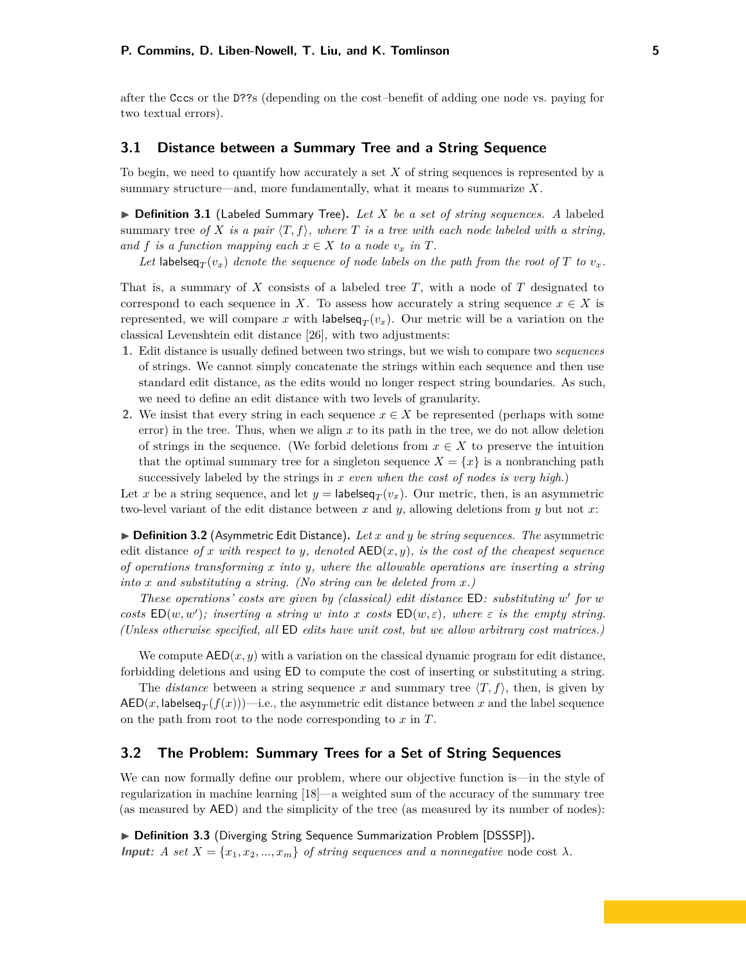after the Cccs or the D??s (depending on the cost–benefit of adding one node vs. paying for two textual errors).

# **3.1 Distance between a Summary Tree and a String Sequence**

To begin, we need to quantify how accurately a set *X* of string sequences is represented by a summary structure—and, more fundamentally, what it means to summarize *X*.

▶ Definition 3.1 (Labeled Summary Tree). Let X be a set of string sequences. A labeled summary tree of X is a pair  $\langle T, f \rangle$ , where T is a tree with each node labeled with a string, *and*  $f$  *is a function mapping each*  $x \in X$  *to a node*  $v_x$  *in*  $T$ *.* 

Let labelseq $_T(v_x)$  *denote the sequence of node labels on the path from the root of*  $T$  *to*  $v_x$ *.* 

That is, a summary of *X* consists of a labeled tree *T*, with a node of *T* designated to correspond to each sequence in *X*. To assess how accurately a string sequence  $x \in X$  is represented, we will compare x with labelseq<sub>T</sub> $(v_x)$ . Our metric will be a variation on the classical Levenshtein edit distance [\[26\]](#page-14-13), with two adjustments:

- **1.** Edit distance is usually defined between two strings, but we wish to compare two *sequences* of strings. We cannot simply concatenate the strings within each sequence and then use standard edit distance, as the edits would no longer respect string boundaries. As such, we need to define an edit distance with two levels of granularity.
- **2.** We insist that every string in each sequence  $x \in X$  be represented (perhaps with some error) in the tree. Thus, when we align *x* to its path in the tree, we do not allow deletion of strings in the sequence. (We forbid deletions from  $x \in X$  to preserve the intuition that the optimal summary tree for a singleton sequence  $X = \{x\}$  is a nonbranching path successively labeled by the strings in *x even when the cost of nodes is very high*.)

Let *x* be a string sequence, and let  $y =$  labelseq<sub>*T*</sub>( $v_x$ ). Our metric, then, is an asymmetric two-level variant of the edit distance between *x* and *y*, allowing deletions from *y* but not *x*:

▶ **Definition 3.2** (Asymmetric Edit Distance). Let *x* and *y* be string sequences. The asymmetric edit distance of x with respect to y, denoted  $AED(x, y)$ *, is the cost of the cheapest sequence of operations transforming x into y, where the allowable operations are inserting a string into x and substituting a string. (No string can be deleted from x.)*

*These operations' costs are given by (classical) edit distance* ED*: substituting w* 0 *for w costs*  $ED(w, w')$ ; *inserting a string w into x costs*  $ED(w, \varepsilon)$ *, where*  $\varepsilon$  *is the empty string. (Unless otherwise specified, all* ED *edits have unit cost, but we allow arbitrary cost matrices.)*

We compute  $AED(x, y)$  with a variation on the classical dynamic program for edit distance, forbidding deletions and using ED to compute the cost of inserting or substituting a string.

The *distance* between a string sequence x and summary tree  $\langle T, f \rangle$ , then, is given by  $\mathsf{AED}(x,\mathsf{labelseq}_T(f(x)))$ —i.e., the asymmetric edit distance between  $x$  and the label sequence on the path from root to the node corresponding to *x* in *T*.

#### **3.2 The Problem: Summary Trees for a Set of String Sequences**

We can now formally define our problem, where our objective function is—in the style of regularization in machine learning [\[18\]](#page-13-18)—a weighted sum of the accuracy of the summary tree (as measured by AED) and the simplicity of the tree (as measured by its number of nodes):

▶ Definition 3.3 (Diverging String Sequence Summarization Problem [DSSSP]). **Input:** *A set*  $X = \{x_1, x_2, ..., x_m\}$  *of string sequences and a nonnegative* node cost  $\lambda$ *.*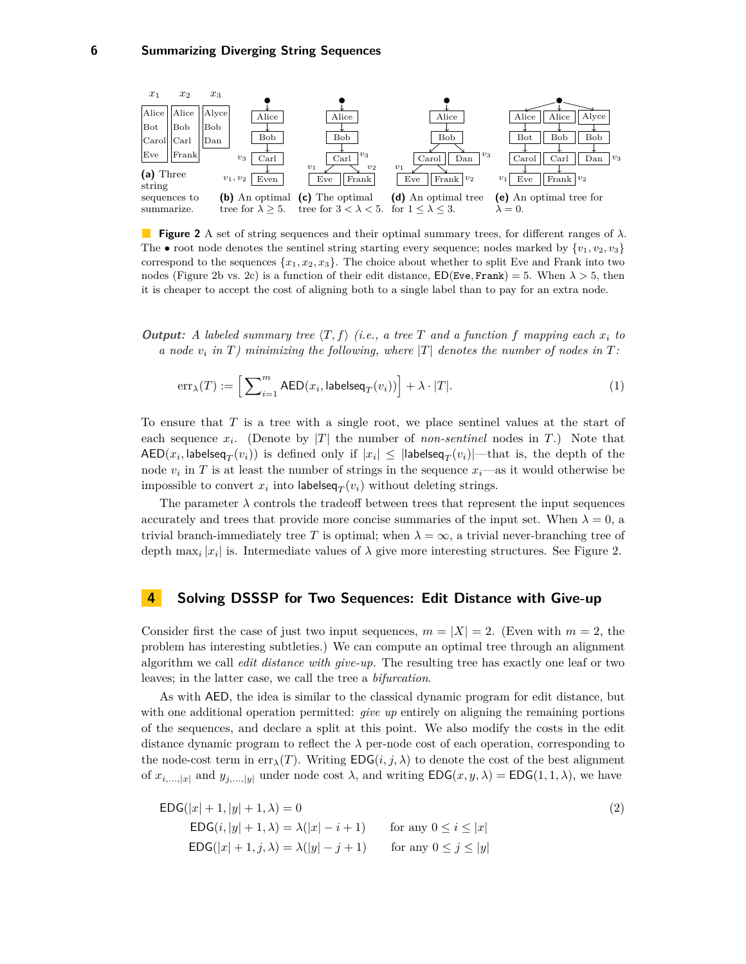<span id="page-5-0"></span>

**Figure 2** A set of string sequences and their optimal summary trees, for different ranges of *λ*. The • root node denotes the sentinel string starting every sequence; nodes marked by  $\{v_1, v_2, v_3\}$ correspond to the sequences  $\{x_1, x_2, x_3\}$ . The choice about whether to split Eve and Frank into two nodes (Figure [2b](#page-5-0) vs. [2c\)](#page-5-0) is a function of their edit distance,  $ED(Eve, Frank) = 5$ . When  $\lambda > 5$ , then it is cheaper to accept the cost of aligning both to a single label than to pay for an extra node.

**Output:** A labeled summary tree  $\langle T, f \rangle$  (i.e., a tree T and a function f mapping each  $x_i$  to *a* node *v*<sub>*i*</sub> in *T*) minimizing the following, where  $|T|$  denotes the number of nodes in *T*:

<span id="page-5-2"></span>
$$
\text{err}_{\lambda}(T) := \Big[\sum\nolimits_{i=1}^m \mathsf{AED}(x_i, \mathsf{labelseq}_T(v_i))\Big] + \lambda \cdot |T|.\tag{1}
$$

To ensure that *T* is a tree with a single root, we place sentinel values at the start of each sequence  $x_i$ . (Denote by |*T*| the number of *non-sentinel* nodes in *T*.) Note that  $\mathsf{AED}(x_i, \mathsf{labelseq}_T(v_i))$  is defined only if  $|x_i| \leq |\mathsf{labelseq}_T(v_i)|$ —that is, the depth of the node  $v_i$  in  $T$  is at least the number of strings in the sequence  $x_i$ —as it would otherwise be impossible to convert  $x_i$  into labelseq $_T(v_i)$  without deleting strings.

The parameter  $\lambda$  controls the tradeoff between trees that represent the input sequences accurately and trees that provide more concise summaries of the input set. When  $\lambda = 0$ , a trivial branch-immediately tree T is optimal; when  $\lambda = \infty$ , a trivial never-branching tree of depth  $\max_i |x_i|$  is. Intermediate values of  $\lambda$  give more interesting structures. See Figure [2.](#page-5-0)

#### **4 Solving DSSSP for Two Sequences: Edit Distance with Give-up**

Consider first the case of just two input sequences,  $m = |X| = 2$ . (Even with  $m = 2$ , the problem has interesting subtleties.) We can compute an optimal tree through an alignment algorithm we call *edit distance with give-up.* The resulting tree has exactly one leaf or two leaves; in the latter case, we call the tree a *bifurcation*.

As with AED, the idea is similar to the classical dynamic program for edit distance, but with one additional operation permitted: *give up* entirely on aligning the remaining portions of the sequences, and declare a split at this point. We also modify the costs in the edit distance dynamic program to reflect the  $\lambda$  per-node cost of each operation, corresponding to the node-cost term in  $\text{err}_{\lambda}(T)$ . Writing  $\text{EDG}(i, j, \lambda)$  to denote the cost of the best alignment of  $x_{i,\dots,|x|}$  and  $y_{j,\dots,|y|}$  under node cost  $\lambda$ , and writing  $EDG(x, y, \lambda) = EDG(1, 1, \lambda)$ , we have

<span id="page-5-1"></span>
$$
\mathsf{EDG}(|x|+1, |y|+1, \lambda) = 0
$$
\n
$$
\mathsf{EDG}(i, |y|+1, \lambda) = \lambda(|x| - i + 1) \qquad \text{for any } 0 \le i \le |x|
$$
\n
$$
\mathsf{EDG}(|x|+1, j, \lambda) = \lambda(|y| - j + 1) \qquad \text{for any } 0 \le j \le |y|
$$
\n
$$
(2)
$$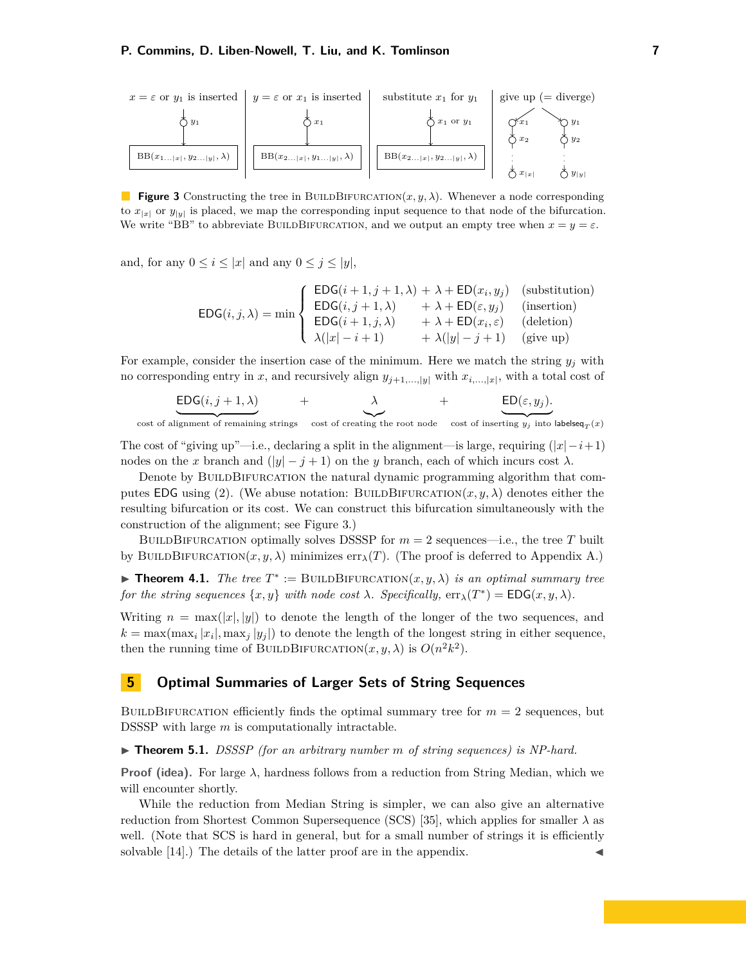<span id="page-6-1"></span>

**Figure 3** Constructing the tree in BUILDBIFURCATION $(x, y, \lambda)$ . Whenever a node corresponding to  $x_{|x|}$  or  $y_{|y|}$  is placed, we map the corresponding input sequence to that node of the bifurcation. We write "BB" to abbreviate BUILDBIFURCATION, and we output an empty tree when  $x = y = \varepsilon$ .

and, for any  $0 \leq i \leq |x|$  and any  $0 \leq j \leq |y|$ ,

$$
EDG(i, j, \lambda) = \min \begin{cases} \text{EDG}(i+1, j+1, \lambda) + \lambda + \text{ED}(x_i, y_j) & \text{(substitution)}\\ \text{EDG}(i, j+1, \lambda) + \lambda + \text{ED}(\varepsilon, y_j) & \text{(insertion)}\\ \text{EDG}(i+1, j, \lambda) + \lambda + \text{ED}(x_i, \varepsilon) & \text{(deletion)}\\ \lambda(|x| - i + 1) + \lambda(|y| - j + 1) & \text{(give up)} \end{cases}
$$

For example, consider the insertion case of the minimum. Here we match the string  $y_j$  with no corresponding entry in *x*, and recursively align  $y_{j+1,\dots,|y|}$  with  $x_{i,\dots,|x|}$ , with a total cost of

$$
\underbrace{\text{EDG}(i,j+1,\lambda)}_{\text{+}} \qquad \qquad + \qquad \underbrace{\lambda}_{\text{+}} \qquad \qquad + \qquad \underbrace{\text{ED}(\varepsilon,y_j)}_{\text{+}}
$$

 $\overline{\text{cost of alignment of remaining strings} \quad \text{cost of creating the root node} \quad \text{cost of inserting } y_j \text{ into labeled } T(x)$ 

The cost of "giving up"—i.e., declaring a split in the alignment—is large, requiring  $(|x| - i + 1)$ nodes on the *x* branch and  $(|y| - j + 1)$  on the *y* branch, each of which incurs cost  $\lambda$ .

Denote by BUILDBIFURCATION the natural dynamic programming algorithm that com-putes EDG using [\(2\)](#page-5-1). (We abuse notation: BUILDBIFURCATION $(x, y, \lambda)$  denotes either the resulting bifurcation or its cost. We can construct this bifurcation simultaneously with the construction of the alignment; see Figure [3.](#page-6-1))

BUILDBIFURCATION optimally solves DSSSP for  $m = 2$  sequences—i.e., the tree T built by BUILDBIFURCATION $(x, y, \lambda)$  minimizes  $err_{\lambda}(T)$ . (The proof is deferred to Appendix [A.](#page-15-0))

<span id="page-6-0"></span>**Theorem 4.1.** *The tree*  $T^* := \text{BULDBIFYACATION}(x, y, \lambda)$  *is an optimal summary tree for the string sequences*  $\{x, y\}$  *with node cost*  $\lambda$ *. Specifically,*  $\text{err}_{\lambda}(T^*) = \text{EDG}(x, y, \lambda)$ *.* 

Writing  $n = \max(|x|, |y|)$  to denote the length of the longer of the two sequences, and  $k = \max(\max_i |x_i|, \max_j |y_i|)$  to denote the length of the longest string in either sequence, then the running time of BUILDBIFURCATION $(x, y, \lambda)$  is  $O(n^2k^2)$ .

# <span id="page-6-2"></span>**5 Optimal Summaries of Larger Sets of String Sequences**

BUILDBIFURCATION efficiently finds the optimal summary tree for  $m = 2$  sequences, but DSSSP with large *m* is computationally intractable.

▶ **Theorem 5.1.** *DSSSP* (for an arbitrary number *m* of string sequences) is NP-hard.

**Proof (idea).** For large  $\lambda$ , hardness follows from a reduction from String Median, which we will encounter shortly.

While the reduction from Median String is simpler, we can also give an alternative reduction from Shortest Common Supersequence (SCS) [\[35\]](#page-14-14), which applies for smaller  $\lambda$  as well. (Note that SCS is hard in general, but for a small number of strings it is efficiently solvable [\[14\]](#page-13-19).) The details of the latter proof are in the appendix.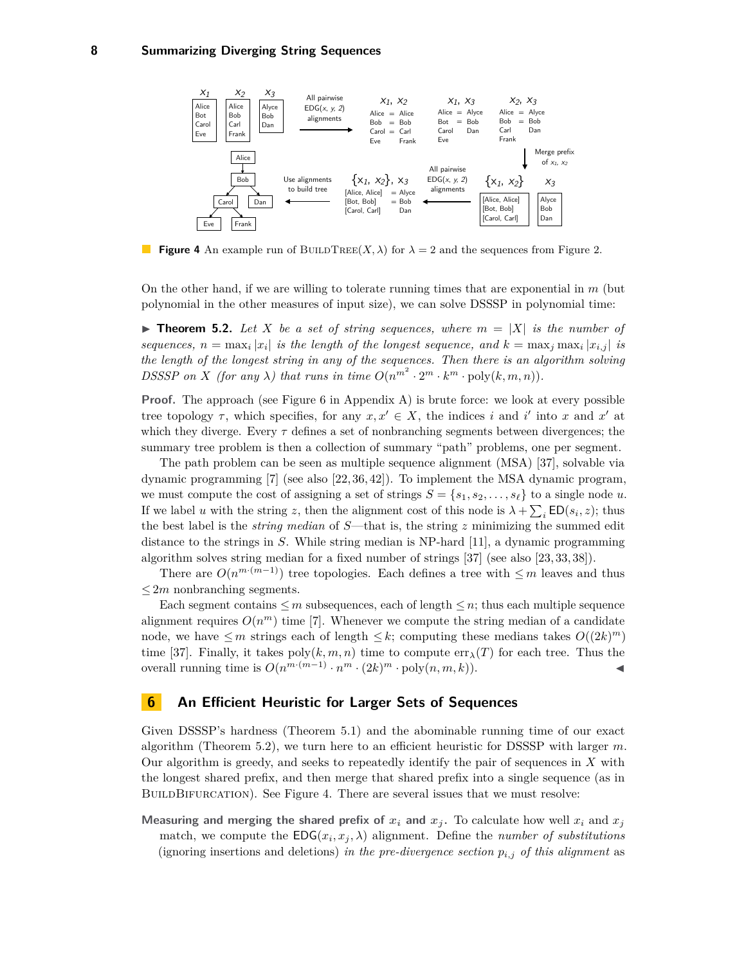<span id="page-7-1"></span>

**Figure 4** An example run of BUILDTREE $(X, \lambda)$  for  $\lambda = 2$  and the sequences from Figure [2.](#page-5-0)

On the other hand, if we are willing to tolerate running times that are exponential in *m* (but polynomial in the other measures of input size), we can solve DSSSP in polynomial time:

<span id="page-7-0"></span>**Find Theorem 5.2.** Let X be a set of string sequences, where  $m = |X|$  is the number of *sequences,*  $n = \max_i |x_i|$  *is the length of the longest sequence, and*  $k = \max_j \max_i |x_{i,j}|$  *is the length of the longest string in any of the sequences. Then there is an algorithm solving DSSSP* on *X* (for any  $\lambda$ ) that runs in time  $O(n^{m^2} \cdot 2^m \cdot k^m \cdot \text{poly}(k, m, n))$ .

**Proof.** The approach (see Figure [6](#page-17-0) in Appendix [A\)](#page-15-0) is brute force: we look at every possible tree topology  $\tau$ , which specifies, for any  $x, x' \in X$ , the indices *i* and *i'* into *x* and *x'* at which they diverge. Every  $\tau$  defines a set of nonbranching segments between divergences; the summary tree problem is then a collection of summary "path" problems, one per segment.

The path problem can be seen as multiple sequence alignment (MSA) [\[37\]](#page-14-11), solvable via dynamic programming [\[7\]](#page-13-15) (see also [\[22,](#page-13-16) [36,](#page-14-10) [42\]](#page-14-12)). To implement the MSA dynamic program, we must compute the cost of assigning a set of strings  $S = \{s_1, s_2, \ldots, s_\ell\}$  to a single node *u*. If we label *u* with the string *z*, then the alignment cost of this node is  $\lambda + \sum_i \text{ED}(s_i, z)$ ; thus the best label is the *string median* of *S*—that is, the string *z* minimizing the summed edit distance to the strings in *S*. While string median is NP-hard [\[11\]](#page-13-20), a dynamic programming algorithm solves string median for a fixed number of strings [\[37\]](#page-14-11) (see also [\[23,](#page-13-21) [33,](#page-14-15) [38\]](#page-14-16)).

There are  $O(n^{m \cdot (m-1)})$  tree topologies. Each defines a tree with  $\leq m$  leaves and thus  $\leq 2m$  nonbranching segments.

Each segment contains  $\leq m$  subsequences, each of length  $\leq n$ ; thus each multiple sequence alignment requires  $O(n^m)$  time [\[7\]](#page-13-15). Whenever we compute the string median of a candidate node, we have  $\leq m$  strings each of length  $\leq k$ ; computing these medians takes  $O((2k)^m)$ time [\[37\]](#page-14-11). Finally, it takes  $poly(k, m, n)$  time to compute  $err_{\lambda}(T)$  for each tree. Thus the overall running time is  $O(n^{m \cdot (m-1)} \cdot n^m \cdot (2k)^m \cdot \text{poly}(n, m, k)).$ 

# **6 An Efficient Heuristic for Larger Sets of Sequences**

Given DSSSP's hardness (Theorem [5.1\)](#page-6-0) and the abominable running time of our exact algorithm (Theorem [5.2\)](#page-7-0), we turn here to an efficient heuristic for DSSSP with larger *m*. Our algorithm is greedy, and seeks to repeatedly identify the pair of sequences in *X* with the longest shared prefix, and then merge that shared prefix into a single sequence (as in BUILDBIFURCATION). See Figure [4.](#page-7-1) There are several issues that we must resolve:

**Measuring and merging the shared prefix of**  $x_i$  **and**  $x_j$ . To calculate how well  $x_i$  and  $x_j$ match, we compute the  $EDG(x_i, x_j, \lambda)$  alignment. Define the *number of substitutions* (ignoring insertions and deletions) *in the pre-divergence section*  $p_{i,j}$  *of this alignment* as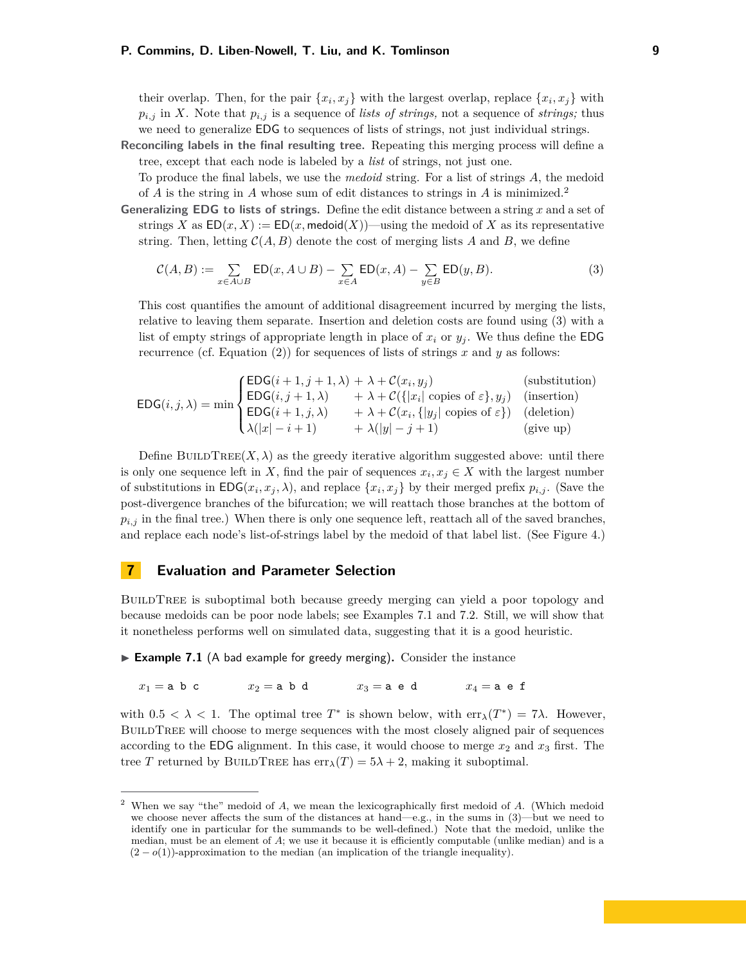their overlap. Then, for the pair  $\{x_i, x_j\}$  with the largest overlap, replace  $\{x_i, x_j\}$  with  $p_{i,j}$  in *X*. Note that  $p_{i,j}$  is a sequence of *lists of strings*, not a sequence of *strings*; thus we need to generalize EDG to sequences of lists of strings, not just individual strings.

**Reconciling labels in the final resulting tree.** Repeating this merging process will define a tree, except that each node is labeled by a *list* of strings, not just one.

To produce the final labels, we use the *medoid* string. For a list of strings *A*, the medoid of *A* is the string in *A* whose sum of edit distances to strings in *A* is minimized.[2](#page-8-0)

**Generalizing EDG to lists of strings.** Define the edit distance between a string *x* and a set of strings *X* as  $ED(x, X) := ED(x, \text{medoid}(X))$ —using the medoid of *X* as its representative string. Then, letting  $C(A, B)$  denote the cost of merging lists A and B, we define

<span id="page-8-1"></span>
$$
\mathcal{C}(A,B) := \sum_{x \in A \cup B} \mathsf{ED}(x, A \cup B) - \sum_{x \in A} \mathsf{ED}(x,A) - \sum_{y \in B} \mathsf{ED}(y,B). \tag{3}
$$

This cost quantifies the amount of additional disagreement incurred by merging the lists, relative to leaving them separate. Insertion and deletion costs are found using [\(3\)](#page-8-1) with a list of empty strings of appropriate length in place of  $x_i$  or  $y_j$ . We thus define the EDG recurrence (cf. Equation [\(2\)](#page-5-1)) for sequences of lists of strings *x* and *y* as follows:

$$
\mathsf{EDG}(i,j,\lambda) = \min \begin{cases} \mathsf{EDG}(i+1,j+1,\lambda) + \lambda + \mathcal{C}(x_i, y_j) & \text{(substitution)}\\ \mathsf{EDG}(i,j+1,\lambda) + \lambda + \mathcal{C}(\{|x_i|\text{ copies of }\varepsilon\}, y_j) & \text{(insertion)}\\ \mathsf{EDG}(i+1,j,\lambda) + \lambda + \mathcal{C}(x_i, \{|y_j|\text{ copies of }\varepsilon\}) & \text{(deletion)}\\ \lambda(|x|-i+1) + \lambda(|y|-j+1) & \text{(give up)} \end{cases}
$$

Define BUILDTREE $(X, \lambda)$  as the greedy iterative algorithm suggested above: until there is only one sequence left in *X*, find the pair of sequences  $x_i, x_j \in X$  with the largest number of substitutions in  $EDG(x_i, x_j, \lambda)$ , and replace  $\{x_i, x_j\}$  by their merged prefix  $p_{i,j}$ . (Save the post-divergence branches of the bifurcation; we will reattach those branches at the bottom of  $p_{i,j}$  in the final tree.) When there is only one sequence left, reattach all of the saved branches, and replace each node's list-of-strings label by the medoid of that label list. (See Figure [4.](#page-7-1))

# <span id="page-8-3"></span>**7 Evaluation and Parameter Selection**

BUILDTREE is suboptimal both because greedy merging can yield a poor topology and because medoids can be poor node labels; see Examples [7.1](#page-8-2) and [7.2.](#page-9-1) Still, we will show that it nonetheless performs well on simulated data, suggesting that it is a good heuristic.

<span id="page-8-2"></span>► Example 7.1 (A bad example for greedy merging). Consider the instance

 $x_1 =$ a b c  $x_2 =$ a b d  $x_3 =$ a e d  $x_4 =$ a e f

with  $0.5 < \lambda < 1$ . The optimal tree  $T^*$  is shown below, with  $\text{err}_{\lambda}(T^*) = 7\lambda$ . However, BUILDTREE will choose to merge sequences with the most closely aligned pair of sequences according to the EDG alignment. In this case, it would choose to merge  $x_2$  and  $x_3$  first. The tree *T* returned by BUILDTREE has  $err_{\lambda}(T) = 5\lambda + 2$ , making it suboptimal.

<span id="page-8-0"></span><sup>2</sup> When we say "the" medoid of *A*, we mean the lexicographically first medoid of *A*. (Which medoid we choose never affects the sum of the distances at hand—e.g., in the sums in [\(3\)](#page-8-1)—but we need to identify one in particular for the summands to be well-defined.) Note that the medoid, unlike the median, must be an element of *A*; we use it because it is efficiently computable (unlike median) and is a  $(2 - o(1))$ -approximation to the median (an implication of the triangle inequality).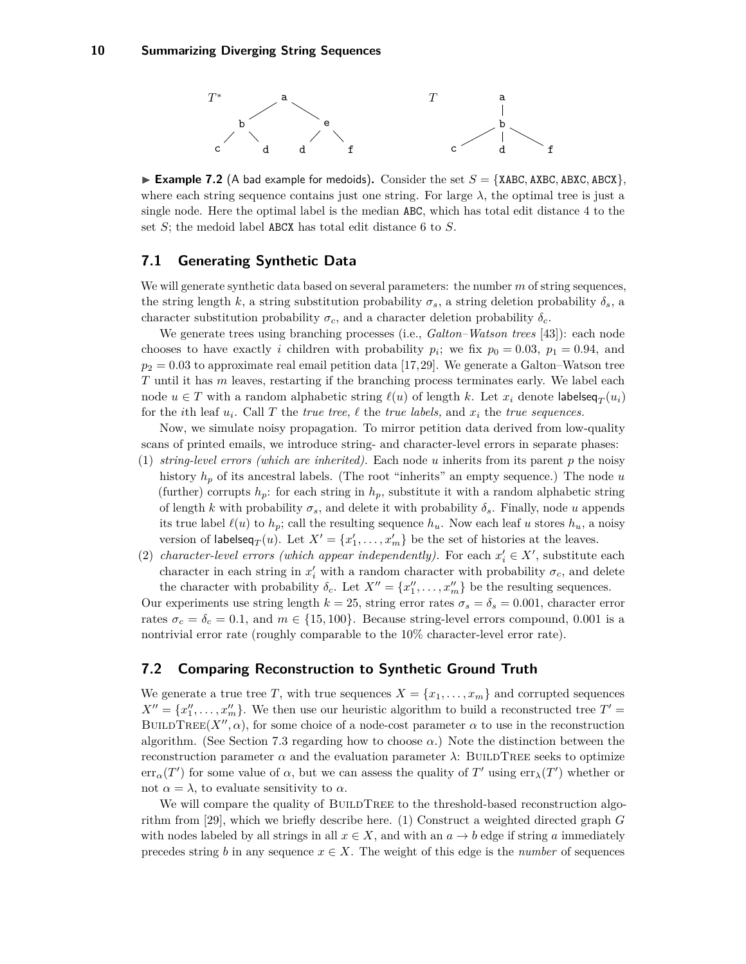

<span id="page-9-1"></span>**Example 7.2** (A bad example for medoids). Consider the set  $S = \{XABC, ABXC, ABCX\}$ , where each string sequence contains just one string. For large  $\lambda$ , the optimal tree is just a single node. Here the optimal label is the median ABC, which has total edit distance 4 to the set *S*; the medoid label ABCX has total edit distance 6 to *S*.

# **7.1 Generating Synthetic Data**

We will generate synthetic data based on several parameters: the number *m* of string sequences, the string length *k*, a string substitution probability  $\sigma_s$ , a string deletion probability  $\delta_s$ , a character substitution probability  $\sigma_c$ , and a character deletion probability  $\delta_c$ .

We generate trees using branching processes (i.e., *Galton–Watson trees* [\[43\]](#page-14-17)): each node chooses to have exactly *i* children with probability  $p_i$ ; we fix  $p_0 = 0.03$ ,  $p_1 = 0.94$ , and  $p_2 = 0.03$  to approximate real email petition data [\[17,](#page-13-1)[29\]](#page-14-0). We generate a Galton–Watson tree *T* until it has *m* leaves, restarting if the branching process terminates early. We label each node  $u \in T$  with a random alphabetic string  $\ell(u)$  of length  $k$ . Let  $x_i$  denote labelseq $T(u_i)$ for the *i*th leaf  $u_i$ . Call T the *true tree,*  $\ell$  the *true labels,* and  $x_i$  the *true sequences.* 

Now, we simulate noisy propagation. To mirror petition data derived from low-quality scans of printed emails, we introduce string- and character-level errors in separate phases:

- (1) *string-level errors (which are inherited).* Each node *u* inherits from its parent *p* the noisy history  $h_p$  of its ancestral labels. (The root "inherits" an empty sequence.) The node *u* (further) corrupts  $h_p$ : for each string in  $h_p$ , substitute it with a random alphabetic string of length *k* with probability  $\sigma_s$ , and delete it with probability  $\delta_s$ . Finally, node *u* appends its true label  $\ell(u)$  to  $h_p$ ; call the resulting sequence  $h_u$ . Now each leaf *u* stores  $h_u$ , a noisy version of labelseq<sub>*T*</sub>(*u*). Let  $X' = \{x'_1, \ldots, x'_m\}$  be the set of histories at the leaves.
- (2) *character-level errors (which appear independently).* For each  $x_i' \in X'$ , substitute each character in each string in  $x_i'$  with a random character with probability  $\sigma_c$ , and delete the character with probability  $\delta_c$ . Let  $X'' = \{x''_1, \ldots, x''_m\}$  be the resulting sequences.

Our experiments use string length  $k = 25$ , string error rates  $\sigma_s = \delta_s = 0.001$ , character error rates  $\sigma_c = \delta_c = 0.1$ , and  $m \in \{15, 100\}$ . Because string-level errors compound, 0.001 is a nontrivial error rate (roughly comparable to the 10% character-level error rate).

# <span id="page-9-0"></span>**7.2 Comparing Reconstruction to Synthetic Ground Truth**

We generate a true tree *T*, with true sequences  $X = \{x_1, \ldots, x_m\}$  and corrupted sequences  $X'' = \{x''_1, \ldots, x''_m\}$ . We then use our heuristic algorithm to build a reconstructed tree  $T' =$ BUILDTREE( $X''$ ,  $\alpha$ ), for some choice of a node-cost parameter  $\alpha$  to use in the reconstruction algorithm. (See Section [7.3](#page-11-0) regarding how to choose  $\alpha$ .) Note the distinction between the reconstruction parameter  $\alpha$  and the evaluation parameter  $\lambda$ : BUILDTREE seeks to optimize  $\text{err}_{\alpha}(T')$  for some value of  $\alpha$ , but we can assess the quality of  $T'$  using  $\text{err}_{\lambda}(T')$  whether or not  $\alpha = \lambda$ , to evaluate sensitivity to  $\alpha$ .

We will compare the quality of BUILDTREE to the threshold-based reconstruction algorithm from [\[29\]](#page-14-0), which we briefly describe here. (1) Construct a weighted directed graph *G* with nodes labeled by all strings in all  $x \in X$ , and with an  $a \to b$  edge if string a immediately precedes string *b* in any sequence  $x \in X$ . The weight of this edge is the *number* of sequences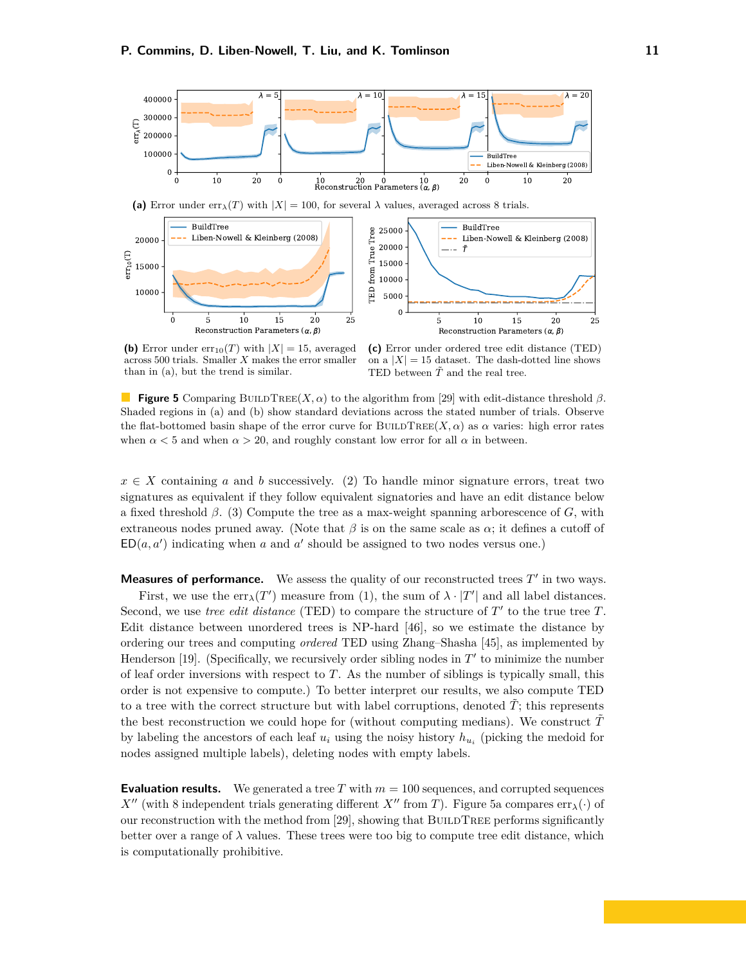<span id="page-10-0"></span>

(a) Error under  $\text{err}_{\lambda}(T)$  with  $|X| = 100$ , for several  $\lambda$  values, averaged across 8 trials.



**(b)** Error under  $err_{10}(T)$  with  $|X| = 15$ , averaged across 500 trials. Smaller *X* makes the error smaller than in (a), but the trend is similar.

**(c)** Error under ordered tree edit distance (TED) on a  $|X| = 15$  dataset. The dash-dotted line shows TED between  $\tilde{T}$  and the real tree.

**Figure 5** Comparing BUILDTREE(*X, α*) to the algorithm from [\[29\]](#page-14-0) with edit-distance threshold  $\beta$ . Shaded regions in (a) and (b) show standard deviations across the stated number of trials. Observe the flat-bottomed basin shape of the error curve for BUILDTREE( $X, \alpha$ ) as  $\alpha$  varies: high error rates when  $\alpha$  < 5 and when  $\alpha$  > 20, and roughly constant low error for all  $\alpha$  in between.

 $x \in X$  containing *a* and *b* successively. (2) To handle minor signature errors, treat two signatures as equivalent if they follow equivalent signatories and have an edit distance below a fixed threshold *β*. (3) Compute the tree as a max-weight spanning arborescence of *G*, with extraneous nodes pruned away. (Note that  $\beta$  is on the same scale as  $\alpha$ ; it defines a cutoff of  $ED(a, a')$  indicating when *a* and *a'* should be assigned to two nodes versus one.)

**Measures of performance.** We assess the quality of our reconstructed trees  $T'$  in two ways. First, we use the  $err_{\lambda}(T')$  measure from [\(1\)](#page-5-2), the sum of  $\lambda \cdot |T'|$  and all label distances. Second, we use *tree edit distance* (TED) to compare the structure of  $T'$  to the true tree  $T$ . Edit distance between unordered trees is NP-hard [\[46\]](#page-14-18), so we estimate the distance by ordering our trees and computing *ordered* TED using Zhang–Shasha [\[45\]](#page-14-19), as implemented by Henderson  $[19]$ . (Specifically, we recursively order sibling nodes in  $T'$  to minimize the number of leaf order inversions with respect to *T*. As the number of siblings is typically small, this order is not expensive to compute.) To better interpret our results, we also compute TED to a tree with the correct structure but with label corruptions, denoted  $\tilde{T}$ ; this represents the best reconstruction we could hope for (without computing medians). We construct  $\tilde{T}$ by labeling the ancestors of each leaf  $u_i$  using the noisy history  $h_{u_i}$  (picking the medoid for nodes assigned multiple labels), deleting nodes with empty labels.

**Evaluation results.** We generated a tree *T* with  $m = 100$  sequences, and corrupted sequences *X*<sup>0</sup> (with 8 independent trials generating different *X*<sup>0</sup> from *T*). Figure [5a](#page-10-0) compares err<sub>*λ*</sub>(·) of our reconstruction with the method from [\[29\]](#page-14-0), showing that BUILDTREE performs significantly better over a range of  $\lambda$  values. These trees were too big to compute tree edit distance, which is computationally prohibitive.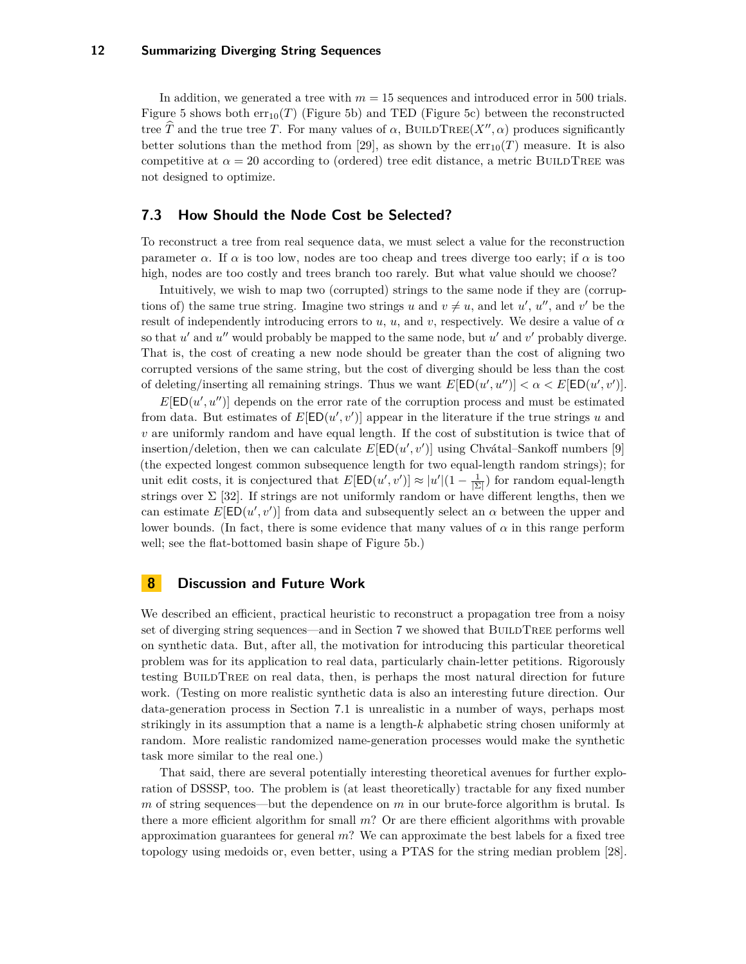In addition, we generated a tree with  $m = 15$  sequences and introduced error in 500 trials. Figure [5](#page-10-0) shows both  $err_{10}(T)$  (Figure [5b\)](#page-10-0) and TED (Figure [5c\)](#page-10-0) between the reconstructed tree *T* and the true tree *T*. For many values of  $\alpha$ , BUILDTREE(*X<sup>0</sup>*,  $\alpha$ ) produces significantly better solutions than the method from [\[29\]](#page-14-0), as shown by the  $err_{10}(T)$  measure. It is also competitive at  $\alpha = 20$  according to (ordered) tree edit distance, a metric BUILDTREE was not designed to optimize.

### <span id="page-11-0"></span>**7.3 How Should the Node Cost be Selected?**

To reconstruct a tree from real sequence data, we must select a value for the reconstruction parameter  $\alpha$ . If  $\alpha$  is too low, nodes are too cheap and trees diverge too early; if  $\alpha$  is too high, nodes are too costly and trees branch too rarely. But what value should we choose?

Intuitively, we wish to map two (corrupted) strings to the same node if they are (corruptions of) the same true string. Imagine two strings *u* and  $v \neq u$ , and let *u'*, *u''*, and *v'* be the result of independently introducing errors to *u*, *u*, and *v*, respectively. We desire a value of *α* so that  $u'$  and  $u''$  would probably be mapped to the same node, but  $u'$  and  $v'$  probably diverge. That is, the cost of creating a new node should be greater than the cost of aligning two corrupted versions of the same string, but the cost of diverging should be less than the cost of deleting/inserting all remaining strings. Thus we want  $E[ED(u', u'')] < \alpha < E[ED(u', v')]$ .

 $E[ED(u', u'')]$  depends on the error rate of the corruption process and must be estimated from data. But estimates of  $E[ED(u', v')]$  appear in the literature if the true strings *u* and *v* are uniformly random and have equal length. If the cost of substitution is twice that of insertion/deletion, then we can calculate  $E[ED(u', v')]$  using Chvátal–Sankoff numbers [\[9\]](#page-13-23) (the expected longest common subsequence length for two equal-length random strings); for unit edit costs, it is conjectured that  $E[\textsf{ED}(u', v')] \approx |u'| (1 - \frac{1}{|\Sigma|})$  for random equal-length strings over  $\Sigma$  [\[32\]](#page-14-20). If strings are not uniformly random or have different lengths, then we can estimate  $E[ED(u', v')]$  from data and subsequently select an  $\alpha$  between the upper and lower bounds. (In fact, there is some evidence that many values of  $\alpha$  in this range perform well; see the flat-bottomed basin shape of Figure [5b.](#page-10-0))

### **8 Discussion and Future Work**

We described an efficient, practical heuristic to reconstruct a propagation tree from a noisy set of diverging string sequences—and in Section [7](#page-8-3) we showed that BUILDTREE performs well on synthetic data. But, after all, the motivation for introducing this particular theoretical problem was for its application to real data, particularly chain-letter petitions. Rigorously testing BuildTree on real data, then, is perhaps the most natural direction for future work. (Testing on more realistic synthetic data is also an interesting future direction. Our data-generation process in Section 7.1 is unrealistic in a number of ways, perhaps most strikingly in its assumption that a name is a length-*k* alphabetic string chosen uniformly at random. More realistic randomized name-generation processes would make the synthetic task more similar to the real one.)

That said, there are several potentially interesting theoretical avenues for further exploration of DSSSP, too. The problem is (at least theoretically) tractable for any fixed number *m* of string sequences—but the dependence on *m* in our brute-force algorithm is brutal. Is there a more efficient algorithm for small *m*? Or are there efficient algorithms with provable approximation guarantees for general *m*? We can approximate the best labels for a fixed tree topology using medoids or, even better, using a PTAS for the string median problem [\[28\]](#page-14-21).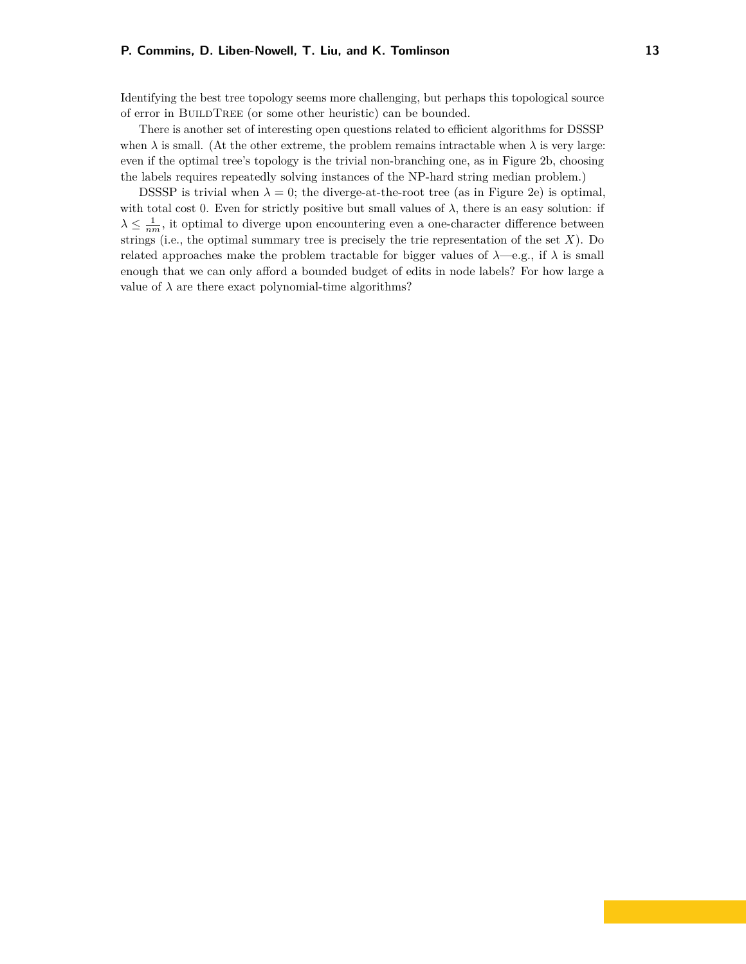Identifying the best tree topology seems more challenging, but perhaps this topological source of error in BuildTree (or some other heuristic) can be bounded.

There is another set of interesting open questions related to efficient algorithms for DSSSP when  $\lambda$  is small. (At the other extreme, the problem remains intractable when  $\lambda$  is very large: even if the optimal tree's topology is the trivial non-branching one, as in Figure [2b,](#page-5-0) choosing the labels requires repeatedly solving instances of the NP-hard string median problem.)

DSSSP is trivial when  $\lambda = 0$ ; the diverge-at-the-root tree (as in Figure [2e\)](#page-5-0) is optimal, with total cost 0. Even for strictly positive but small values of  $\lambda$ , there is an easy solution: if  $\lambda \leq \frac{1}{nm}$ , it optimal to diverge upon encountering even a one-character difference between strings (i.e., the optimal summary tree is precisely the trie representation of the set *X*). Do related approaches make the problem tractable for bigger values of  $\lambda$ —e.g., if  $\lambda$  is small enough that we can only afford a bounded budget of edits in node labels? For how large a value of  $\lambda$  are there exact polynomial-time algorithms?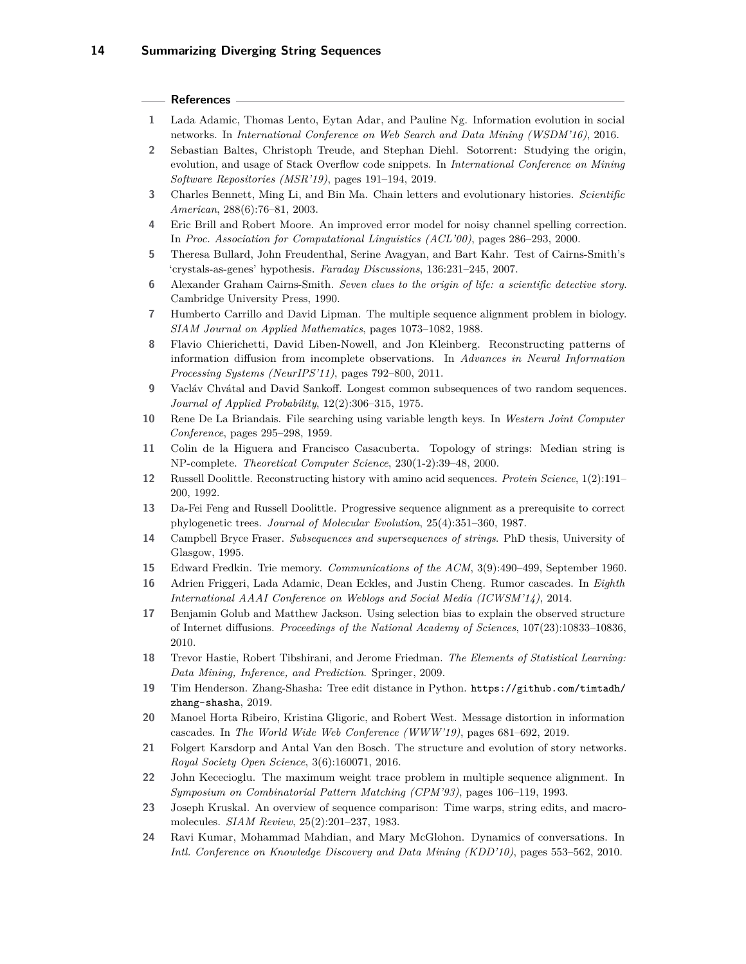#### **References**

- <span id="page-13-11"></span>**1** Lada Adamic, Thomas Lento, Eytan Adar, and Pauline Ng. Information evolution in social networks. In *International Conference on Web Search and Data Mining (WSDM'16)*, 2016.
- <span id="page-13-14"></span>**2** Sebastian Baltes, Christoph Treude, and Stephan Diehl. Sotorrent: Studying the origin, evolution, and usage of Stack Overflow code snippets. In *International Conference on Mining Software Repositories (MSR'19)*, pages 191–194, 2019.
- <span id="page-13-4"></span>**3** Charles Bennett, Ming Li, and Bin Ma. Chain letters and evolutionary histories. *Scientific American*, 288(6):76–81, 2003.
- <span id="page-13-3"></span>**4** Eric Brill and Robert Moore. An improved error model for noisy channel spelling correction. In *Proc. Association for Computational Linguistics (ACL'00)*, pages 286–293, 2000.
- <span id="page-13-6"></span>**5** Theresa Bullard, John Freudenthal, Serine Avagyan, and Bart Kahr. Test of Cairns-Smith's 'crystals-as-genes' hypothesis. *Faraday Discussions*, 136:231–245, 2007.
- <span id="page-13-7"></span>**6** Alexander Graham Cairns-Smith. *Seven clues to the origin of life: a scientific detective story*. Cambridge University Press, 1990.
- <span id="page-13-15"></span>**7** Humberto Carrillo and David Lipman. The multiple sequence alignment problem in biology. *SIAM Journal on Applied Mathematics*, pages 1073–1082, 1988.
- <span id="page-13-2"></span>**8** Flavio Chierichetti, David Liben-Nowell, and Jon Kleinberg. Reconstructing patterns of information diffusion from incomplete observations. In *Advances in Neural Information Processing Systems (NeurIPS'11)*, pages 792–800, 2011.
- <span id="page-13-23"></span>**9** Vacláv Chvátal and David Sankoff. Longest common subsequences of two random sequences. *Journal of Applied Probability*, 12(2):306–315, 1975.
- <span id="page-13-8"></span>**10** Rene De La Briandais. File searching using variable length keys. In *Western Joint Computer Conference*, pages 295–298, 1959.
- <span id="page-13-20"></span>**11** Colin de la Higuera and Francisco Casacuberta. Topology of strings: Median string is NP-complete. *Theoretical Computer Science*, 230(1-2):39–48, 2000.
- <span id="page-13-17"></span>**12** Russell Doolittle. Reconstructing history with amino acid sequences. *Protein Science*, 1(2):191– 200, 1992.
- <span id="page-13-0"></span>**13** Da-Fei Feng and Russell Doolittle. Progressive sequence alignment as a prerequisite to correct phylogenetic trees. *Journal of Molecular Evolution*, 25(4):351–360, 1987.
- <span id="page-13-19"></span>**14** Campbell Bryce Fraser. *Subsequences and supersequences of strings*. PhD thesis, University of Glasgow, 1995.
- <span id="page-13-9"></span>**15** Edward Fredkin. Trie memory. *Communications of the ACM*, 3(9):490–499, September 1960.
- <span id="page-13-12"></span>**16** Adrien Friggeri, Lada Adamic, Dean Eckles, and Justin Cheng. Rumor cascades. In *Eighth International AAAI Conference on Weblogs and Social Media (ICWSM'14)*, 2014.
- <span id="page-13-1"></span>**17** Benjamin Golub and Matthew Jackson. Using selection bias to explain the observed structure of Internet diffusions. *Proceedings of the National Academy of Sciences*, 107(23):10833–10836, 2010.
- <span id="page-13-18"></span>**18** Trevor Hastie, Robert Tibshirani, and Jerome Friedman. *The Elements of Statistical Learning: Data Mining, Inference, and Prediction*. Springer, 2009.
- <span id="page-13-22"></span>**19** Tim Henderson. Zhang-Shasha: Tree edit distance in Python. [https://github.com/timtadh/](https://github.com/timtadh/zhang-shasha) [zhang-shasha](https://github.com/timtadh/zhang-shasha), 2019.
- <span id="page-13-13"></span>**20** Manoel Horta Ribeiro, Kristina Gligoric, and Robert West. Message distortion in information cascades. In *The World Wide Web Conference (WWW'19)*, pages 681–692, 2019.
- <span id="page-13-5"></span>**21** Folgert Karsdorp and Antal Van den Bosch. The structure and evolution of story networks. *Royal Society Open Science*, 3(6):160071, 2016.
- <span id="page-13-16"></span>**22** John Kececioglu. The maximum weight trace problem in multiple sequence alignment. In *Symposium on Combinatorial Pattern Matching (CPM'93)*, pages 106–119, 1993.
- <span id="page-13-21"></span>**23** Joseph Kruskal. An overview of sequence comparison: Time warps, string edits, and macromolecules. *SIAM Review*, 25(2):201–237, 1983.
- <span id="page-13-10"></span>**24** Ravi Kumar, Mohammad Mahdian, and Mary McGlohon. Dynamics of conversations. In *Intl. Conference on Knowledge Discovery and Data Mining (KDD'10)*, pages 553–562, 2010.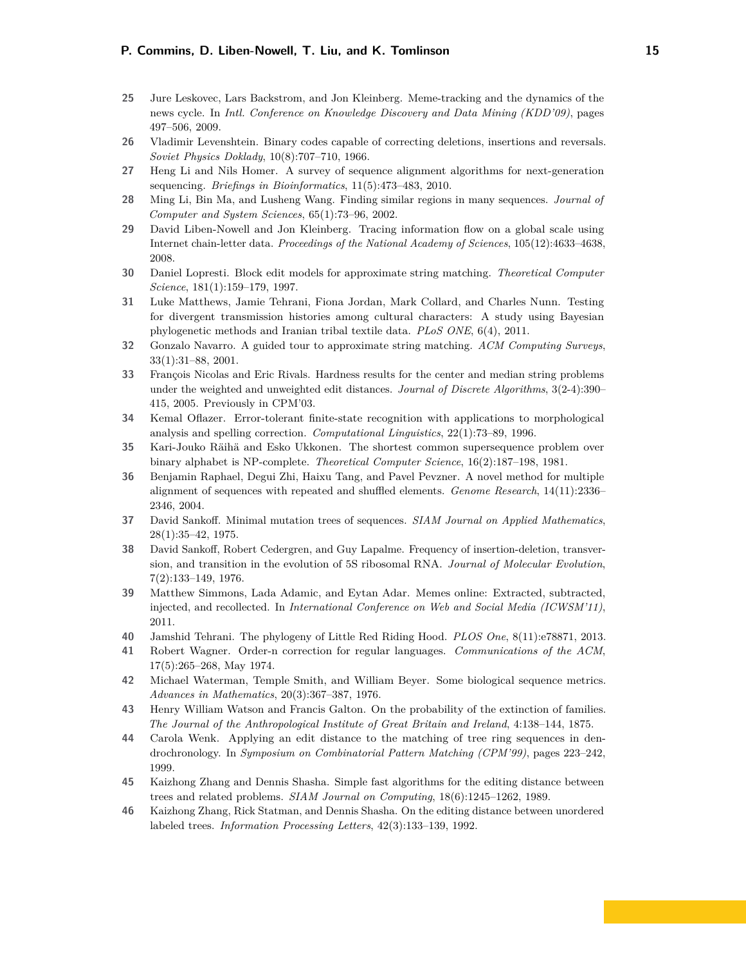- <span id="page-14-5"></span>**25** Jure Leskovec, Lars Backstrom, and Jon Kleinberg. Meme-tracking and the dynamics of the news cycle. In *Intl. Conference on Knowledge Discovery and Data Mining (KDD'09)*, pages 497–506, 2009.
- <span id="page-14-13"></span>**26** Vladimir Levenshtein. Binary codes capable of correcting deletions, insertions and reversals. *Soviet Physics Doklady*, 10(8):707–710, 1966.
- <span id="page-14-9"></span>**27** Heng Li and Nils Homer. A survey of sequence alignment algorithms for next-generation sequencing. *Briefings in Bioinformatics*, 11(5):473–483, 2010.
- <span id="page-14-21"></span>**28** Ming Li, Bin Ma, and Lusheng Wang. Finding similar regions in many sequences. *Journal of Computer and System Sciences*, 65(1):73–96, 2002.
- <span id="page-14-0"></span>**29** David Liben-Nowell and Jon Kleinberg. Tracing information flow on a global scale using Internet chain-letter data. *Proceedings of the National Academy of Sciences*, 105(12):4633–4638, 2008.
- <span id="page-14-3"></span>**30** Daniel Lopresti. Block edit models for approximate string matching. *Theoretical Computer Science*, 181(1):159–179, 1997.
- <span id="page-14-8"></span>**31** Luke Matthews, Jamie Tehrani, Fiona Jordan, Mark Collard, and Charles Nunn. Testing for divergent transmission histories among cultural characters: A study using Bayesian phylogenetic methods and Iranian tribal textile data. *PLoS ONE*, 6(4), 2011.
- <span id="page-14-20"></span>**32** Gonzalo Navarro. A guided tour to approximate string matching. *ACM Computing Surveys*, 33(1):31–88, 2001.
- <span id="page-14-15"></span>**33** François Nicolas and Eric Rivals. Hardness results for the center and median string problems under the weighted and unweighted edit distances. *Journal of Discrete Algorithms*, 3(2-4):390– 415, 2005. Previously in CPM'03.
- <span id="page-14-1"></span>**34** Kemal Oflazer. Error-tolerant finite-state recognition with applications to morphological analysis and spelling correction. *Computational Linguistics*, 22(1):73–89, 1996.
- <span id="page-14-14"></span>**35** Kari-Jouko Räihä and Esko Ukkonen. The shortest common supersequence problem over binary alphabet is NP-complete. *Theoretical Computer Science*, 16(2):187–198, 1981.
- <span id="page-14-10"></span>**36** Benjamin Raphael, Degui Zhi, Haixu Tang, and Pavel Pevzner. A novel method for multiple alignment of sequences with repeated and shuffled elements. *Genome Research*, 14(11):2336– 2346, 2004.
- <span id="page-14-11"></span>**37** David Sankoff. Minimal mutation trees of sequences. *SIAM Journal on Applied Mathematics*, 28(1):35–42, 1975.
- <span id="page-14-16"></span>**38** David Sankoff, Robert Cedergren, and Guy Lapalme. Frequency of insertion-deletion, transversion, and transition in the evolution of 5S ribosomal RNA. *Journal of Molecular Evolution*, 7(2):133–149, 1976.
- <span id="page-14-6"></span>**39** Matthew Simmons, Lada Adamic, and Eytan Adar. Memes online: Extracted, subtracted, injected, and recollected. In *International Conference on Web and Social Media (ICWSM'11)*, 2011.
- <span id="page-14-7"></span>**40** Jamshid Tehrani. The phylogeny of Little Red Riding Hood. *PLOS One*, 8(11):e78871, 2013.
- <span id="page-14-2"></span>**41** Robert Wagner. Order-n correction for regular languages. *Communications of the ACM*, 17(5):265–268, May 1974.
- <span id="page-14-12"></span>**42** Michael Waterman, Temple Smith, and William Beyer. Some biological sequence metrics. *Advances in Mathematics*, 20(3):367–387, 1976.
- <span id="page-14-17"></span>**43** Henry William Watson and Francis Galton. On the probability of the extinction of families. *The Journal of the Anthropological Institute of Great Britain and Ireland*, 4:138–144, 1875.
- <span id="page-14-4"></span>**44** Carola Wenk. Applying an edit distance to the matching of tree ring sequences in dendrochronology. In *Symposium on Combinatorial Pattern Matching (CPM'99)*, pages 223–242, 1999.
- <span id="page-14-19"></span>**45** Kaizhong Zhang and Dennis Shasha. Simple fast algorithms for the editing distance between trees and related problems. *SIAM Journal on Computing*, 18(6):1245–1262, 1989.
- <span id="page-14-18"></span>**46** Kaizhong Zhang, Rick Statman, and Dennis Shasha. On the editing distance between unordered labeled trees. *Information Processing Letters*, 42(3):133–139, 1992.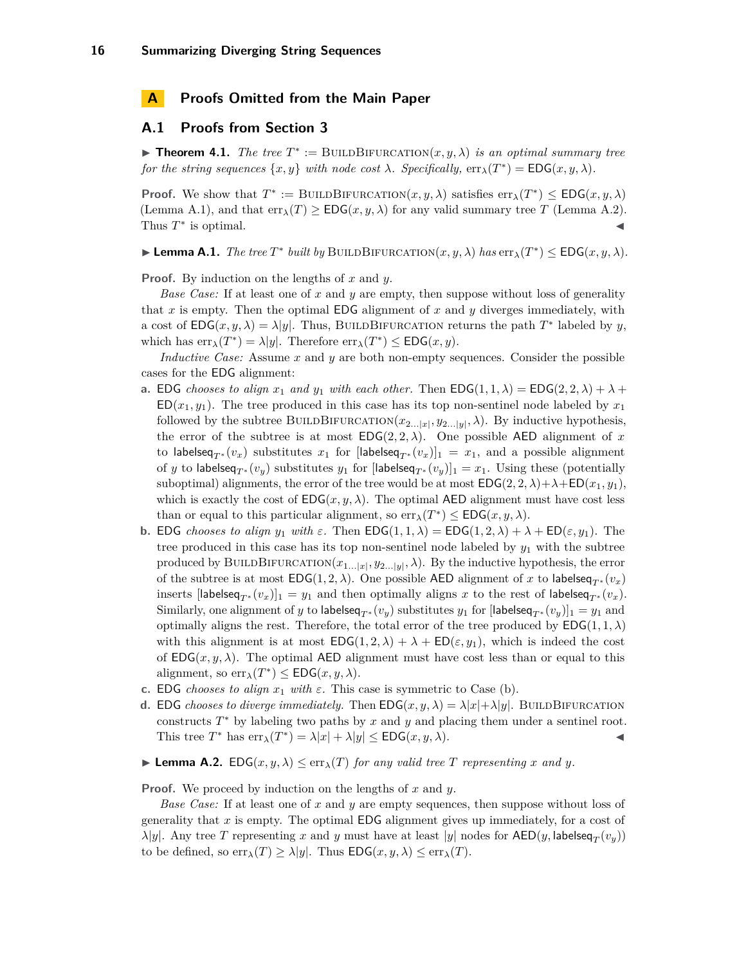# <span id="page-15-0"></span>**A Proofs Omitted from the Main Paper**

### **A.1 Proofs from Section [3](#page-3-1)**

**Theorem 4.1.** *The tree*  $T^* := \text{BULDBIFURCATION}(x, y, \lambda)$  *is an optimal summary tree for the string sequences*  $\{x, y\}$  *with node cost*  $\lambda$ *. Specifically,*  $\text{err}_{\lambda}(T^*) = \text{EDG}(x, y, \lambda)$ *.* 

**Proof.** We show that  $T^* := \text{BULDBIFURCATION}(x, y, \lambda)$  satisfies  $\text{err}_{\lambda}(T^*) \leq \text{EDG}(x, y, \lambda)$ (Lemma [A.1\)](#page-15-1), and that  $err_{\lambda}(T) \geq EDG(x, y, \lambda)$  for any valid summary tree *T* (Lemma [A.2\)](#page-15-2). Thus  $T^*$  is optimal.

<span id="page-15-1"></span> $\blacktriangleright$  **Lemma A.1.** *The tree*  $T^*$  *built by* BUILDBIFURCATION $(x, y, \lambda)$  *has*  $\text{err}_{\lambda}(T^*) \leq \text{EDG}(x, y, \lambda)$ *.* 

**Proof.** By induction on the lengths of *x* and *y*.

*Base Case:* If at least one of *x* and *y* are empty, then suppose without loss of generality that *x* is empty. Then the optimal EDG alignment of *x* and *y* diverges immediately, with a cost of  $EDG(x, y, \lambda) = \lambda |y|$ . Thus, BUILDBIFURCATION returns the path  $T^*$  labeled by *y*, which has  $\text{err}_{\lambda}(T^*) = \lambda |y|$ . Therefore  $\text{err}_{\lambda}(T^*) \leq \text{EDG}(x, y)$ .

*Inductive Case:* Assume *x* and *y* are both non-empty sequences. Consider the possible cases for the EDG alignment:

- **a.** EDG *chooses to align*  $x_1$  *and*  $y_1$  *with each other.* Then  $EDG(1, 1, \lambda) = EDG(2, 2, \lambda) + \lambda + \lambda$  $ED(x_1, y_1)$ . The tree produced in this case has its top non-sentinel node labeled by  $x_1$ followed by the subtree BUILDBIFURCATION $(x_{2...|x|}, y_{2...|y|}, \lambda)$ . By inductive hypothesis, the error of the subtree is at most  $EDG(2, 2, \lambda)$ . One possible AED alignment of x to labelseq<sub>T</sub><sup>\*</sup> ( $v_x$ ) substitutes  $x_1$  for [labelseq<sub>T</sub><sup>\*</sup> ( $v_x$ )]<sub>1</sub> =  $x_1$ , and a possible alignment of *y* to labelseq<sub>*T*</sub> ∗ (*v<sub>y</sub>*) substitutes *y*<sub>1</sub> for [labelseq<sub>*T*</sub> ∗ (*v<sub>y</sub>*)]<sub>1</sub> = *x*<sub>1</sub>. Using these (potentially suboptimal) alignments, the error of the tree would be at most  $EDG(2, 2, \lambda) + \lambda + ED(x_1, y_1)$ , which is exactly the cost of  $EDG(x, y, \lambda)$ . The optimal AED alignment must have cost less than or equal to this particular alignment, so  $err_{\lambda}(T^*) \leq EDG(x, y, \lambda)$ .
- <span id="page-15-3"></span>**b.** EDG *chooses to align*  $y_1$  *with*  $\varepsilon$ . Then  $EDG(1, 1, \lambda) = EDG(1, 2, \lambda) + \lambda + ED(\varepsilon, y_1)$ . The tree produced in this case has its top non-sentinel node labeled by *y*<sup>1</sup> with the subtree produced by BUILDBIFURCATION $(x_{1...|x|}, y_{2...|y|}, \lambda)$ . By the inductive hypothesis, the error of the subtree is at most  $EDG(1, 2, \lambda)$ . One possible AED alignment of *x* to labelseq<sub> $T^*$ </sub> $(v_x)$ inserts  $[\mathsf{labelseq}_{T^*}(v_x)]_1 = y_1$  and then optimally aligns x to the rest of  $\mathsf{labelseq}_{T^*}(v_x)$ . Similarly, one alignment of *y* to labelseq<sub>*T*</sub> ∗ (*v<sub>y</sub>*) substitutes *y*<sub>1</sub> for [labelseq<sub>*T*</sub> ∗ (*v<sub>y</sub>*)]<sub>1</sub> = *y*<sub>1</sub> and optimally aligns the rest. Therefore, the total error of the tree produced by  $EDG(1, 1, \lambda)$ with this alignment is at most  $EDG(1, 2, \lambda) + \lambda + ED(\varepsilon, y_1)$ , which is indeed the cost of  $EDG(x, y, \lambda)$ . The optimal AED alignment must have cost less than or equal to this alignment, so  $\text{err}_{\lambda}(T^*) \leq \text{EDG}(x, y, \lambda)$ .
- **c.** EDG *chooses to align*  $x_1$  *with*  $\varepsilon$ . This case is symmetric to Case [\(b\)](#page-15-3).
- **d.** EDG *chooses to diverge immediately.* Then  $EDG(x, y, \lambda) = \lambda |x| + \lambda |y|$ . BUILDBIFURCATION constructs *T* <sup>∗</sup> by labeling two paths by *x* and *y* and placing them under a sentinel root. This tree  $T^*$  has  $\text{err}_{\lambda}(T^*) = \lambda |x| + \lambda |y| \le \text{EDG}(x, y, \lambda).$
- <span id="page-15-2"></span> $\blacktriangleright$  **Lemma A.2.** EDG( $x, y, \lambda$ )  $\leq$  err $_{\lambda}(T)$  *for any valid tree T representing x and y.*

**Proof.** We proceed by induction on the lengths of *x* and *y*.

*Base Case:* If at least one of *x* and *y* are empty sequences, then suppose without loss of generality that *x* is empty. The optimal EDG alignment gives up immediately, for a cost of *λ*|*y*|. Any tree *T* representing *x* and *y* must have at least |*y*| nodes for  $\mathsf{AED}(y, \mathsf{labelseq}_T(v_y))$ to be defined, so  $err_{\lambda}(T) \geq \lambda |y|$ . Thus  $EDG(x, y, \lambda) \leq err_{\lambda}(T)$ .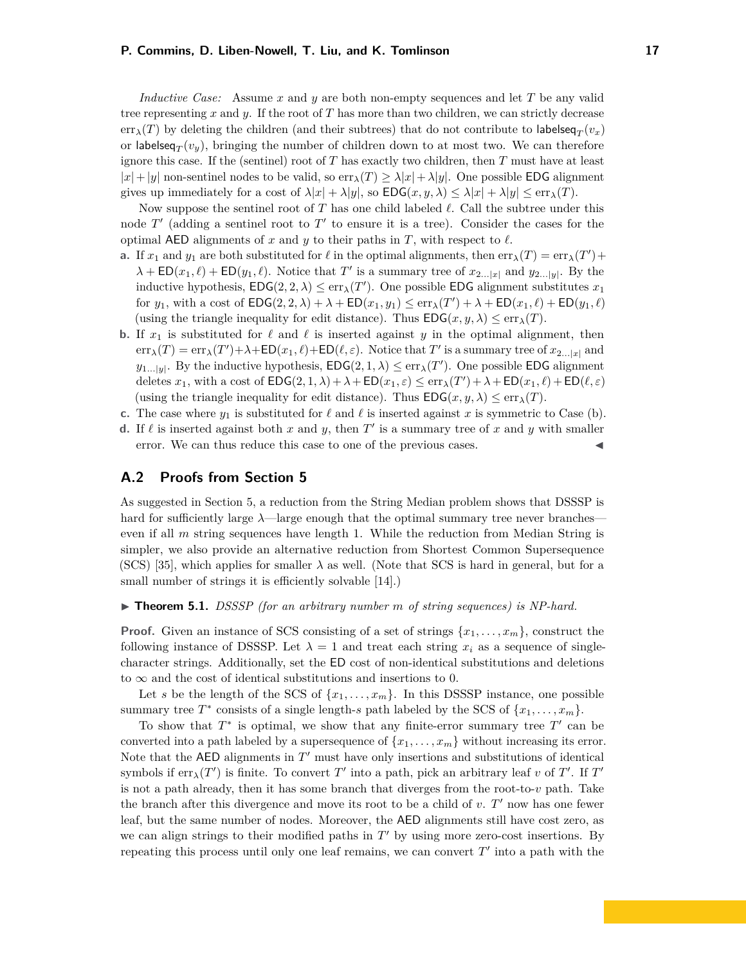*Inductive Case:* Assume *x* and *y* are both non-empty sequences and let *T* be any valid tree representing *x* and *y*. If the root of *T* has more than two children, we can strictly decrease  $\text{err}_{\lambda}(T)$  by deleting the children (and their subtrees) that do not contribute to labelseq $_T(v_x)$ or labelseq $_T(v_y)$ , bringing the number of children down to at most two. We can therefore ignore this case. If the (sentinel) root of *T* has exactly two children, then *T* must have at least  $|x|+|y|$  non-sentinel nodes to be valid, so  $\text{err}_{\lambda}(T) \geq \lambda |x| + \lambda |y|$ . One possible EDG alignment gives up immediately for a cost of  $\lambda |x| + \lambda |y|$ , so  $EDG(x, y, \lambda) \leq \lambda |x| + \lambda |y| \leq \text{err}_{\lambda}(T)$ .

Now suppose the sentinel root of  $T$  has one child labeled  $\ell$ . Call the subtree under this node  $T'$  (adding a sentinel root to  $T'$  to ensure it is a tree). Consider the cases for the optimal AED alignments of  $x$  and  $y$  to their paths in  $T$ , with respect to  $\ell$ .

- **a.** If  $x_1$  and  $y_1$  are both substituted for  $\ell$  in the optimal alignments, then  $err_\lambda(T) = err_\lambda(T') +$  $\lambda + \mathsf{ED}(x_1, \ell) + \mathsf{ED}(y_1, \ell)$ . Notice that *T*' is a summary tree of  $x_{2...|x|}$  and  $y_{2...|y|}$ . By the inductive hypothesis,  $EDG(2, 2, \lambda) \leq err_{\lambda}(T')$ . One possible EDG alignment substitutes  $x_1$ for  $y_1$ , with a cost of  $EDG(2, 2, \lambda) + \lambda + ED(x_1, y_1) \leq err_\lambda(T') + \lambda + ED(x_1, \ell) + ED(y_1, \ell)$ (using the triangle inequality for edit distance). Thus  $EDG(x, y, \lambda) \leq \text{err}_{\lambda}(T)$ .
- <span id="page-16-0"></span>**b.** If  $x_1$  is substituted for  $\ell$  and  $\ell$  is inserted against  $y$  in the optimal alignment, then  $\text{err}_{\lambda}(T) = \text{err}_{\lambda}(T') + \lambda + \text{ED}(x_1, \ell) + \text{ED}(\ell, \varepsilon)$ . Notice that  $T'$  is a summary tree of  $x_{2...|x|}$  and  $y_{1...|\mathbf{y}|}$ . By the inductive hypothesis,  $\textsf{EDG}(2,1,\lambda) \leq \text{err}_{\lambda}(T')$ . One possible EDG alignment deletes  $x_1$ , with a cost of  $EDG(2, 1, \lambda) + \lambda + ED(x_1, \varepsilon) \le \text{err}_{\lambda}(T') + \lambda + ED(x_1, \ell) + ED(\ell, \varepsilon)$ (using the triangle inequality for edit distance). Thus  $EDG(x, y, \lambda) \leq \text{err}_{\lambda}(T)$ .
- **c.** The case where  $y_1$  is substituted for  $\ell$  and  $\ell$  is inserted against *x* is symmetric to Case [\(b\)](#page-16-0).
- **d.** If  $\ell$  is inserted against both  $x$  and  $y$ , then  $T'$  is a summary tree of  $x$  and  $y$  with smaller error. We can thus reduce this case to one of the previous cases.

## **A.2 Proofs from Section [5](#page-6-2)**

As suggested in Section [5,](#page-6-2) a reduction from the String Median problem shows that DSSSP is hard for sufficiently large  $\lambda$ —large enough that the optimal summary tree never branches even if all *m* string sequences have length 1. While the reduction from Median String is simpler, we also provide an alternative reduction from Shortest Common Supersequence (SCS) [\[35\]](#page-14-14), which applies for smaller  $\lambda$  as well. (Note that SCS is hard in general, but for a small number of strings it is efficiently solvable  $[14]$ .)

▶ **Theorem 5.1.** *DSSSP* (for an arbitrary number *m* of string sequences) is NP-hard.

**Proof.** Given an instance of SCS consisting of a set of strings  $\{x_1, \ldots, x_m\}$ , construct the following instance of DSSSP. Let  $\lambda = 1$  and treat each string  $x_i$  as a sequence of singlecharacter strings. Additionally, set the ED cost of non-identical substitutions and deletions to  $\infty$  and the cost of identical substitutions and insertions to 0.

Let *s* be the length of the SCS of  $\{x_1, \ldots, x_m\}$ . In this DSSSP instance, one possible summary tree  $T^*$  consists of a single length-*s* path labeled by the SCS of  $\{x_1, \ldots, x_m\}$ .

To show that  $T^*$  is optimal, we show that any finite-error summary tree  $T'$  can be converted into a path labeled by a supersequence of  $\{x_1, \ldots, x_m\}$  without increasing its error. Note that the  $AED$  alignments in  $T'$  must have only insertions and substitutions of identical symbols if  $\text{err}_{\lambda}(T')$  is finite. To convert  $T'$  into a path, pick an arbitrary leaf *v* of  $T'$ . If  $T'$ is not a path already, then it has some branch that diverges from the root-to-*v* path. Take the branch after this divergence and move its root to be a child of  $v$ .  $T'$  now has one fewer leaf, but the same number of nodes. Moreover, the AED alignments still have cost zero, as we can align strings to their modified paths in  $T'$  by using more zero-cost insertions. By repeating this process until only one leaf remains, we can convert  $T'$  into a path with the